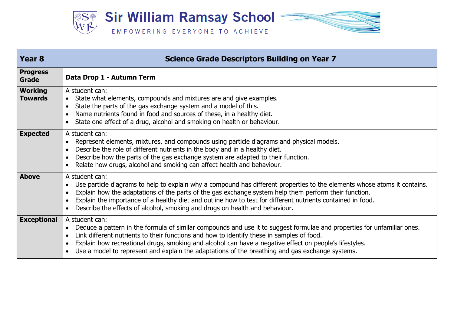

| Year <sub>8</sub>                | <b>Science Grade Descriptors Building on Year 7</b>                                                                                                                                                                                                                                                                                                                                                                                                 |
|----------------------------------|-----------------------------------------------------------------------------------------------------------------------------------------------------------------------------------------------------------------------------------------------------------------------------------------------------------------------------------------------------------------------------------------------------------------------------------------------------|
| <b>Progress</b><br><b>Grade</b>  | Data Drop 1 - Autumn Term                                                                                                                                                                                                                                                                                                                                                                                                                           |
| <b>Working</b><br><b>Towards</b> | A student can:<br>State what elements, compounds and mixtures are and give examples.<br>$\bullet$<br>State the parts of the gas exchange system and a model of this.<br>$\bullet$<br>Name nutrients found in food and sources of these, in a healthy diet.<br>State one effect of a drug, alcohol and smoking on health or behaviour.                                                                                                               |
| <b>Expected</b>                  | A student can:<br>Represent elements, mixtures, and compounds using particle diagrams and physical models.<br>Describe the role of different nutrients in the body and in a healthy diet.<br>Describe how the parts of the gas exchange system are adapted to their function.<br>Relate how drugs, alcohol and smoking can affect health and behaviour.<br>$\bullet$                                                                                |
| <b>Above</b>                     | A student can:<br>Use particle diagrams to help to explain why a compound has different properties to the elements whose atoms it contains.<br>Explain how the adaptations of the parts of the gas exchange system help them perform their function.<br>Explain the importance of a healthy diet and outline how to test for different nutrients contained in food.<br>Describe the effects of alcohol, smoking and drugs on health and behaviour.  |
| <b>Exceptional</b>               | A student can:<br>Deduce a pattern in the formula of similar compounds and use it to suggest formulae and properties for unfamiliar ones.<br>Link different nutrients to their functions and how to identify these in samples of food.<br>Explain how recreational drugs, smoking and alcohol can have a negative effect on people's lifestyles.<br>Use a model to represent and explain the adaptations of the breathing and gas exchange systems. |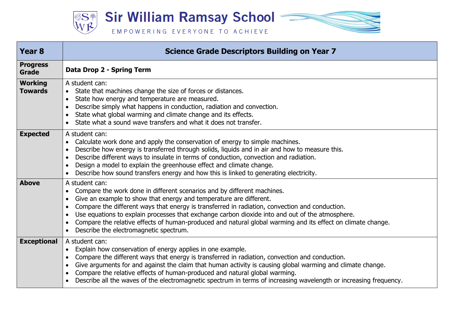

| <b>Year 8</b>                    | <b>Science Grade Descriptors Building on Year 7</b>                                                                                                                                                                                                                                                                                                                                                                                                                                                                           |
|----------------------------------|-------------------------------------------------------------------------------------------------------------------------------------------------------------------------------------------------------------------------------------------------------------------------------------------------------------------------------------------------------------------------------------------------------------------------------------------------------------------------------------------------------------------------------|
| <b>Progress</b><br>Grade         | Data Drop 2 - Spring Term                                                                                                                                                                                                                                                                                                                                                                                                                                                                                                     |
| <b>Working</b><br><b>Towards</b> | A student can:<br>State that machines change the size of forces or distances.<br>$\bullet$<br>State how energy and temperature are measured.<br>Describe simply what happens in conduction, radiation and convection.<br>State what global warming and climate change and its effects.<br>State what a sound wave transfers and what it does not transfer.                                                                                                                                                                    |
| <b>Expected</b>                  | A student can:<br>Calculate work done and apply the conservation of energy to simple machines.<br>Describe how energy is transferred through solids, liquids and in air and how to measure this.<br>Describe different ways to insulate in terms of conduction, convection and radiation.<br>Design a model to explain the greenhouse effect and climate change.<br>$\bullet$<br>Describe how sound transfers energy and how this is linked to generating electricity.                                                        |
| <b>Above</b>                     | A student can:<br>Compare the work done in different scenarios and by different machines.<br>Give an example to show that energy and temperature are different.<br>Compare the different ways that energy is transferred in radiation, convection and conduction.<br>Use equations to explain processes that exchange carbon dioxide into and out of the atmosphere.<br>Compare the relative effects of human-produced and natural global warming and its effect on climate change.<br>Describe the electromagnetic spectrum. |
| <b>Exceptional</b>               | A student can:<br>Explain how conservation of energy applies in one example.<br>$\bullet$<br>Compare the different ways that energy is transferred in radiation, convection and conduction.<br>Give arguments for and against the claim that human activity is causing global warming and climate change.<br>Compare the relative effects of human-produced and natural global warming.<br>Describe all the waves of the electromagnetic spectrum in terms of increasing wavelength or increasing frequency.                  |